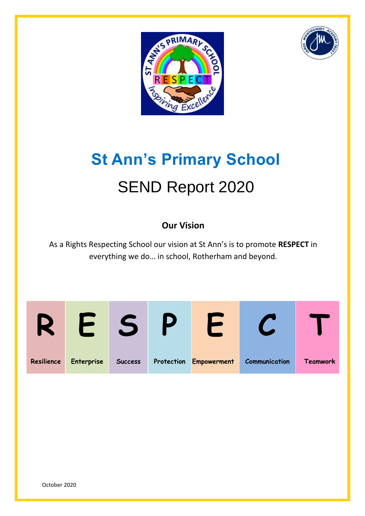



# **St Ann's Primary School** SEND Report 2020

# **Our Vision**

As a Rights Respecting School our vision at St Ann's is to promote **RESPECT** in everything we do… in school, Rotherham and beyond.

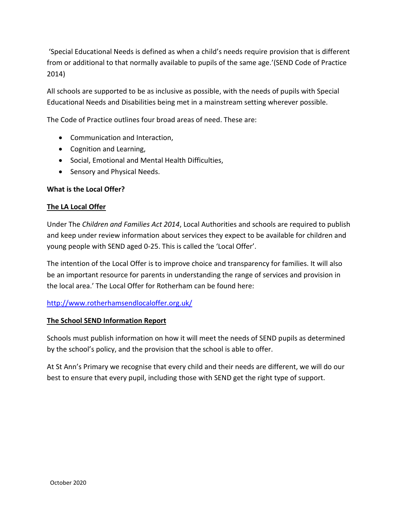'Special Educational Needs is defined as when a child's needs require provision that is different from or additional to that normally available to pupils of the same age.'(SEND Code of Practice 2014)

All schools are supported to be as inclusive as possible, with the needs of pupils with Special Educational Needs and Disabilities being met in a mainstream setting wherever possible.

The Code of Practice outlines four broad areas of need. These are:

- Communication and Interaction,
- Cognition and Learning,
- Social, Emotional and Mental Health Difficulties,
- Sensory and Physical Needs.

# **What is the Local Offer?**

# **The LA Local Offer**

Under The *Children and Families Act 2014*, Local Authorities and schools are required to publish and keep under review information about services they expect to be available for children and young people with SEND aged 0-25. This is called the 'Local Offer'.

The intention of the Local Offer is to improve choice and transparency for families. It will also be an important resource for parents in understanding the range of services and provision in the local area.' The Local Offer for Rotherham can be found here:

#### <http://www.rotherhamsendlocaloffer.org.uk/>

#### **The School SEND Information Report**

Schools must publish information on how it will meet the needs of SEND pupils as determined by the school's policy, and the provision that the school is able to offer.

At St Ann's Primary we recognise that every child and their needs are different, we will do our best to ensure that every pupil, including those with SEND get the right type of support.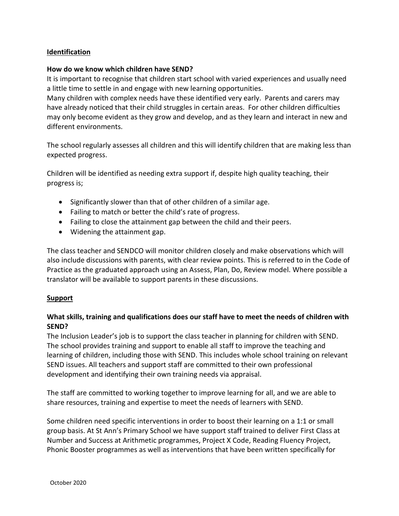# **Identification**

#### **How do we know which children have SEND?**

It is important to recognise that children start school with varied experiences and usually need a little time to settle in and engage with new learning opportunities.

Many children with complex needs have these identified very early. Parents and carers may have already noticed that their child struggles in certain areas. For other children difficulties may only become evident as they grow and develop, and as they learn and interact in new and different environments.

The school regularly assesses all children and this will identify children that are making less than expected progress.

Children will be identified as needing extra support if, despite high quality teaching, their progress is;

- Significantly slower than that of other children of a similar age.
- Failing to match or better the child's rate of progress.
- Failing to close the attainment gap between the child and their peers.
- Widening the attainment gap.

The class teacher and SENDCO will monitor children closely and make observations which will also include discussions with parents, with clear review points. This is referred to in the Code of Practice as the graduated approach using an Assess, Plan, Do, Review model. Where possible a translator will be available to support parents in these discussions.

#### **Support**

# **What skills, training and qualifications does our staff have to meet the needs of children with SEND?**

The Inclusion Leader's job is to support the class teacher in planning for children with SEND. The school provides training and support to enable all staff to improve the teaching and learning of children, including those with SEND. This includes whole school training on relevant SEND issues. All teachers and support staff are committed to their own professional development and identifying their own training needs via appraisal.

The staff are committed to working together to improve learning for all, and we are able to share resources, training and expertise to meet the needs of learners with SEND.

Some children need specific interventions in order to boost their learning on a 1:1 or small group basis. At St Ann's Primary School we have support staff trained to deliver First Class at Number and Success at Arithmetic programmes, Project X Code, Reading Fluency Project, Phonic Booster programmes as well as interventions that have been written specifically for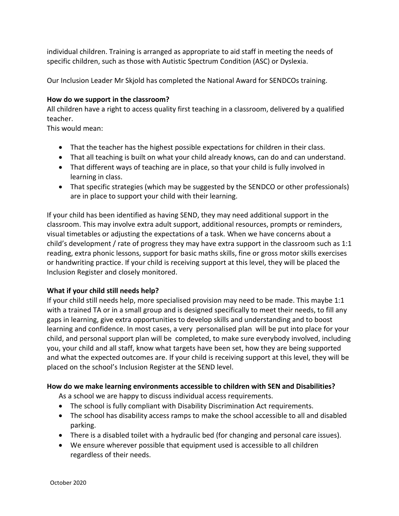individual children. Training is arranged as appropriate to aid staff in meeting the needs of specific children, such as those with Autistic Spectrum Condition (ASC) or Dyslexia.

Our Inclusion Leader Mr Skjold has completed the National Award for SENDCOs training.

# **How do we support in the classroom?**

All children have a right to access quality first teaching in a classroom, delivered by a qualified teacher.

This would mean:

- That the teacher has the highest possible expectations for children in their class.
- That all teaching is built on what your child already knows, can do and can understand.
- That different ways of teaching are in place, so that your child is fully involved in learning in class.
- That specific strategies (which may be suggested by the SENDCO or other professionals) are in place to support your child with their learning.

If your child has been identified as having SEND, they may need additional support in the classroom. This may involve extra adult support, additional resources, prompts or reminders, visual timetables or adjusting the expectations of a task. When we have concerns about a child's development / rate of progress they may have extra support in the classroom such as 1:1 reading, extra phonic lessons, support for basic maths skills, fine or gross motor skills exercises or handwriting practice. If your child is receiving support at this level, they will be placed the Inclusion Register and closely monitored.

# **What if your child still needs help?**

If your child still needs help, more specialised provision may need to be made. This maybe 1:1 with a trained TA or in a small group and is designed specifically to meet their needs, to fill any gaps in learning, give extra opportunities to develop skills and understanding and to boost learning and confidence. In most cases, a very personalised plan will be put into place for your child, and personal support plan will be completed, to make sure everybody involved, including you, your child and all staff, know what targets have been set, how they are being supported and what the expected outcomes are. If your child is receiving support at this level, they will be placed on the school's Inclusion Register at the SEND level.

# **How do we make learning environments accessible to children with SEN and Disabilities?**

As a school we are happy to discuss individual access requirements.

- The school is fully compliant with Disability Discrimination Act requirements.
- The school has disability access ramps to make the school accessible to all and disabled parking.
- There is a disabled toilet with a hydraulic bed (for changing and personal care issues).
- We ensure wherever possible that equipment used is accessible to all children regardless of their needs.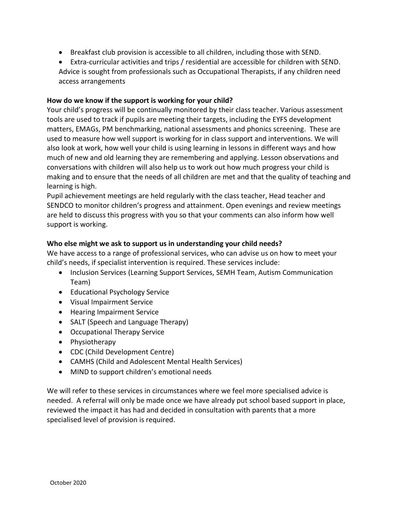- Breakfast club provision is accessible to all children, including those with SEND.
- Extra-curricular activities and trips / residential are accessible for children with SEND. Advice is sought from professionals such as Occupational Therapists, if any children need access arrangements

# **How do we know if the support is working for your child?**

Your child's progress will be continually monitored by their class teacher. Various assessment tools are used to track if pupils are meeting their targets, including the EYFS development matters, EMAGs, PM benchmarking, national assessments and phonics screening. These are used to measure how well support is working for in class support and interventions. We will also look at work, how well your child is using learning in lessons in different ways and how much of new and old learning they are remembering and applying. Lesson observations and conversations with children will also help us to work out how much progress your child is making and to ensure that the needs of all children are met and that the quality of teaching and learning is high.

Pupil achievement meetings are held regularly with the class teacher, Head teacher and SENDCO to monitor children's progress and attainment. Open evenings and review meetings are held to discuss this progress with you so that your comments can also inform how well support is working.

#### **Who else might we ask to support us in understanding your child needs?**

We have access to a range of professional services, who can advise us on how to meet your child's needs, if specialist intervention is required. These services include:

- Inclusion Services (Learning Support Services, SEMH Team, Autism Communication Team)
- Educational Psychology Service
- Visual Impairment Service
- **•** Hearing Impairment Service
- SALT (Speech and Language Therapy)
- Occupational Therapy Service
- Physiotherapy
- CDC (Child Development Centre)
- CAMHS (Child and Adolescent Mental Health Services)
- MIND to support children's emotional needs

We will refer to these services in circumstances where we feel more specialised advice is needed. A referral will only be made once we have already put school based support in place, reviewed the impact it has had and decided in consultation with parents that a more specialised level of provision is required.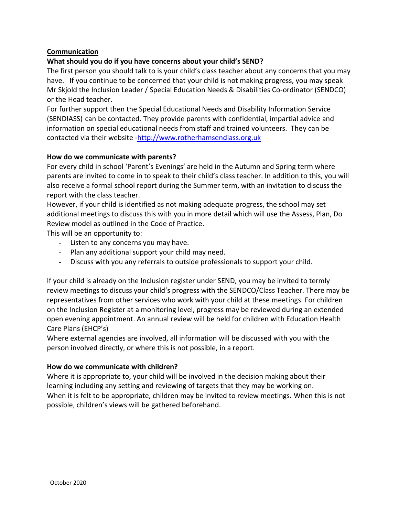# **Communication**

# **What should you do if you have concerns about your child's SEND?**

The first person you should talk to is your child's class teacher about any concerns that you may have. If you continue to be concerned that your child is not making progress, you may speak Mr Skjold the Inclusion Leader / Special Education Needs & Disabilities Co-ordinator (SENDCO) or the Head teacher.

For further support then the Special Educational Needs and Disability Information Service (SENDIASS) can be contacted. They provide parents with confidential, impartial advice and information on special educational needs from staff and trained volunteers. They can be contacted via their website [-http://www.rotherhamsendiass.org.uk](http://www.rotherhamsendiass.org.uk/)

#### **How do we communicate with parents?**

For every child in school 'Parent's Evenings' are held in the Autumn and Spring term where parents are invited to come in to speak to their child's class teacher. In addition to this, you will also receive a formal school report during the Summer term, with an invitation to discuss the report with the class teacher.

However, if your child is identified as not making adequate progress, the school may set additional meetings to discuss this with you in more detail which will use the Assess, Plan, Do Review model as outlined in the Code of Practice.

This will be an opportunity to:

- Listen to any concerns you may have.
- Plan any additional support your child may need.
- Discuss with you any referrals to outside professionals to support your child.

If your child is already on the Inclusion register under SEND, you may be invited to termly review meetings to discuss your child's progress with the SENDCO/Class Teacher. There may be representatives from other services who work with your child at these meetings. For children on the Inclusion Register at a monitoring level, progress may be reviewed during an extended open evening appointment. An annual review will be held for children with Education Health Care Plans (EHCP's)

Where external agencies are involved, all information will be discussed with you with the person involved directly, or where this is not possible, in a report.

#### **How do we communicate with children?**

Where it is appropriate to, your child will be involved in the decision making about their learning including any setting and reviewing of targets that they may be working on. When it is felt to be appropriate, children may be invited to review meetings. When this is not possible, children's views will be gathered beforehand.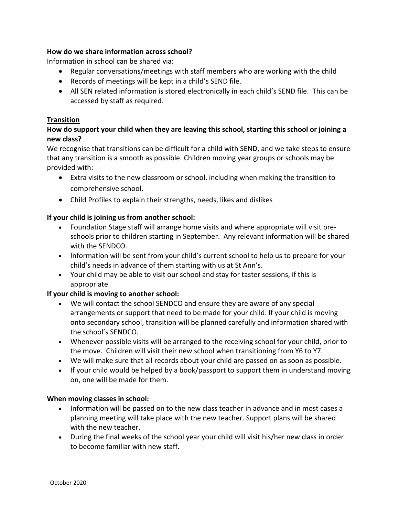# **How do we share information across school?**

Information in school can be shared via:

- Regular conversations/meetings with staff members who are working with the child
- Records of meetings will be kept in a child's SEND file.
- All SEN related information is stored electronically in each child's SEND file. This can be accessed by staff as required.

#### **Transition**

# **How do support your child when they are leaving this school, starting this school or joining a new class?**

We recognise that transitions can be difficult for a child with SEND, and we take steps to ensure that any transition is a smooth as possible. Children moving year groups or schools may be provided with:

- Extra visits to the new classroom or school, including when making the transition to comprehensive school.
- Child Profiles to explain their strengths, needs, likes and dislikes

# **If your child is joining us from another school:**

- Foundation Stage staff will arrange home visits and where appropriate will visit preschools prior to children starting in September. Any relevant information will be shared with the SENDCO.
- Information will be sent from your child's current school to help us to prepare for your child's needs in advance of them starting with us at St Ann's.
- Your child may be able to visit our school and stay for taster sessions, if this is appropriate.

#### **If your child is moving to another school:**

- We will contact the school SENDCO and ensure they are aware of any special arrangements or support that need to be made for your child. If your child is moving onto secondary school, transition will be planned carefully and information shared with the school's SENDCO.
- Whenever possible visits will be arranged to the receiving school for your child, prior to the move. Children will visit their new school when transitioning from Y6 to Y7.
- We will make sure that all records about your child are passed on as soon as possible.
- If your child would be helped by a book/passport to support them in understand moving on, one will be made for them.

#### **When moving classes in school:**

- Information will be passed on to the new class teacher in advance and in most cases a planning meeting will take place with the new teacher. Support plans will be shared with the new teacher.
- During the final weeks of the school year your child will visit his/her new class in order to become familiar with new staff.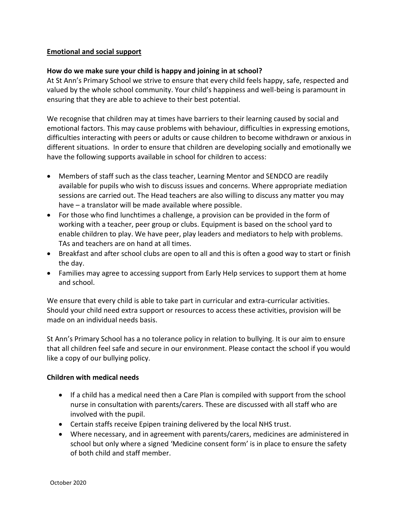# **Emotional and social support**

#### **How do we make sure your child is happy and joining in at school?**

At St Ann's Primary School we strive to ensure that every child feels happy, safe, respected and valued by the whole school community. Your child's happiness and well-being is paramount in ensuring that they are able to achieve to their best potential.

We recognise that children may at times have barriers to their learning caused by social and emotional factors. This may cause problems with behaviour, difficulties in expressing emotions, difficulties interacting with peers or adults or cause children to become withdrawn or anxious in different situations. In order to ensure that children are developing socially and emotionally we have the following supports available in school for children to access:

- Members of staff such as the class teacher, Learning Mentor and SENDCO are readily available for pupils who wish to discuss issues and concerns. Where appropriate mediation sessions are carried out. The Head teachers are also willing to discuss any matter you may have – a translator will be made available where possible.
- For those who find lunchtimes a challenge, a provision can be provided in the form of working with a teacher, peer group or clubs. Equipment is based on the school yard to enable children to play. We have peer, play leaders and mediators to help with problems. TAs and teachers are on hand at all times.
- Breakfast and after school clubs are open to all and this is often a good way to start or finish the day.
- Families may agree to accessing support from Early Help services to support them at home and school.

We ensure that every child is able to take part in curricular and extra-curricular activities. Should your child need extra support or resources to access these activities, provision will be made on an individual needs basis.

St Ann's Primary School has a no tolerance policy in relation to bullying. It is our aim to ensure that all children feel safe and secure in our environment. Please contact the school if you would like a copy of our bullying policy.

#### **Children with medical needs**

- If a child has a medical need then a Care Plan is compiled with support from the school nurse in consultation with parents/carers. These are discussed with all staff who are involved with the pupil.
- Certain staffs receive Epipen training delivered by the local NHS trust.
- Where necessary, and in agreement with parents/carers, medicines are administered in school but only where a signed 'Medicine consent form' is in place to ensure the safety of both child and staff member.